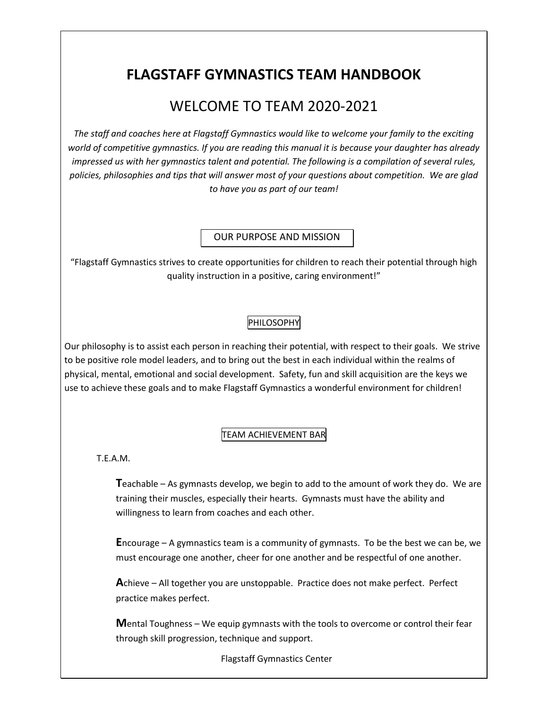# **FLAGSTAFF GYMNASTICS TEAM HANDBOOK**

## WELCOME TO TEAM 2020-2021

*The staff and coaches here at Flagstaff Gymnastics would like to welcome your family to the exciting world of competitive gymnastics. If you are reading this manual it is because your daughter has already impressed us with her gymnastics talent and potential. The following is a compilation of several rules, policies, philosophies and tips that will answer most of your questions about competition. We are glad to have you as part of our team!* 

OUR PURPOSE AND MISSION

"Flagstaff Gymnastics strives to create opportunities for children to reach their potential through high quality instruction in a positive, caring environment!"

#### PHILOSOPHY

Our philosophy is to assist each person in reaching their potential, with respect to their goals. We strive to be positive role model leaders, and to bring out the best in each individual within the realms of physical, mental, emotional and social development. Safety, fun and skill acquisition are the keys we use to achieve these goals and to make Flagstaff Gymnastics a wonderful environment for children!

#### TEAM ACHIEVEMENT BAR

T.E.A.M.

**T**eachable – As gymnasts develop, we begin to add to the amount of work they do. We are training their muscles, especially their hearts. Gymnasts must have the ability and willingness to learn from coaches and each other.

**E**ncourage – A gymnastics team is a community of gymnasts. To be the best we can be, we must encourage one another, cheer for one another and be respectful of one another.

**A**chieve – All together you are unstoppable. Practice does not make perfect. Perfect practice makes perfect.

**M**ental Toughness – We equip gymnasts with the tools to overcome or control their fear through skill progression, technique and support.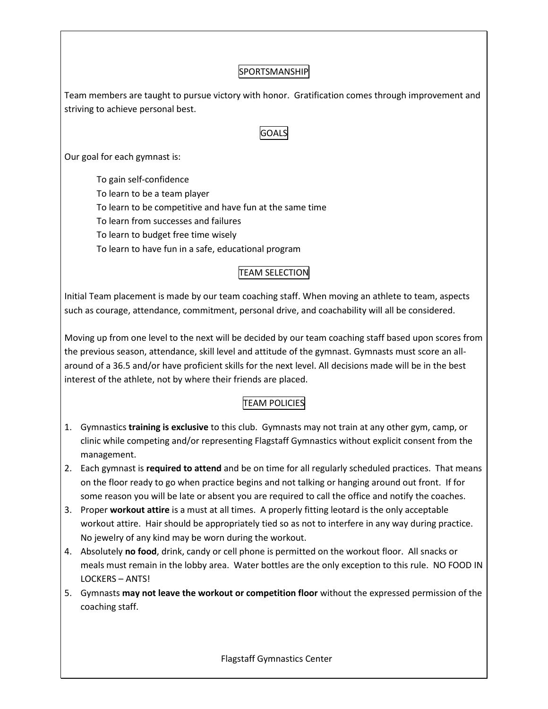#### SPORTSMANSHIP

Team members are taught to pursue victory with honor. Gratification comes through improvement and striving to achieve personal best.

#### **GOALS**

Our goal for each gymnast is:

To gain self-confidence To learn to be a team player To learn to be competitive and have fun at the same time To learn from successes and failures To learn to budget free time wisely To learn to have fun in a safe, educational program

#### TEAM SELECTION

Initial Team placement is made by our team coaching staff. When moving an athlete to team, aspects such as courage, attendance, commitment, personal drive, and coachability will all be considered.

Moving up from one level to the next will be decided by our team coaching staff based upon scores from the previous season, attendance, skill level and attitude of the gymnast. Gymnasts must score an allaround of a 36.5 and/or have proficient skills for the next level. All decisions made will be in the best interest of the athlete, not by where their friends are placed.

## TEAM POLICIES

- 1. Gymnastics **training is exclusive** to this club. Gymnasts may not train at any other gym, camp, or clinic while competing and/or representing Flagstaff Gymnastics without explicit consent from the management.
- 2. Each gymnast is **required to attend** and be on time for all regularly scheduled practices. That means on the floor ready to go when practice begins and not talking or hanging around out front. If for some reason you will be late or absent you are required to call the office and notify the coaches.
- 3. Proper **workout attire** is a must at all times. A properly fitting leotard is the only acceptable workout attire. Hair should be appropriately tied so as not to interfere in any way during practice. No jewelry of any kind may be worn during the workout.
- 4. Absolutely **no food**, drink, candy or cell phone is permitted on the workout floor. All snacks or meals must remain in the lobby area. Water bottles are the only exception to this rule. NO FOOD IN LOCKERS – ANTS!
- 5. Gymnasts **may not leave the workout or competition floor** without the expressed permission of the coaching staff.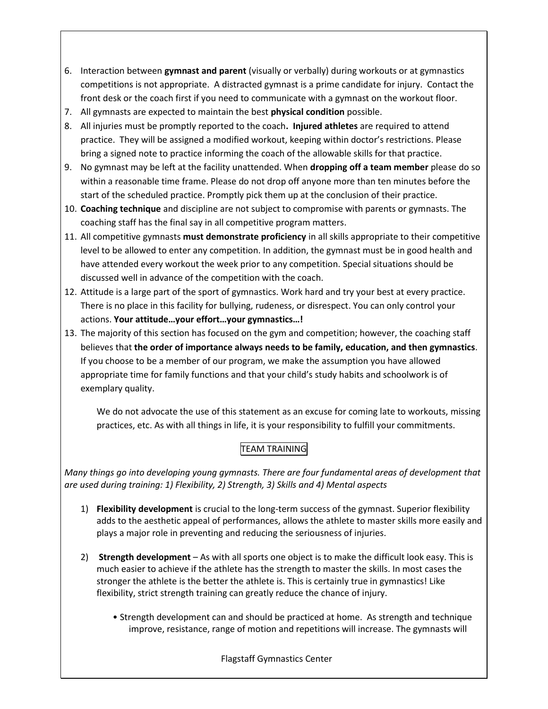- 6. Interaction between **gymnast and parent** (visually or verbally) during workouts or at gymnastics competitions is not appropriate. A distracted gymnast is a prime candidate for injury. Contact the front desk or the coach first if you need to communicate with a gymnast on the workout floor.
- 7. All gymnasts are expected to maintain the best **physical condition** possible.
- 8. All injuries must be promptly reported to the coach**. Injured athletes** are required to attend practice. They will be assigned a modified workout, keeping within doctor's restrictions. Please bring a signed note to practice informing the coach of the allowable skills for that practice.
- 9. No gymnast may be left at the facility unattended. When **dropping off a team member** please do so within a reasonable time frame. Please do not drop off anyone more than ten minutes before the start of the scheduled practice. Promptly pick them up at the conclusion of their practice.
- 10. **Coaching technique** and discipline are not subject to compromise with parents or gymnasts. The coaching staff has the final say in all competitive program matters.
- 11. All competitive gymnasts **must demonstrate proficiency** in all skills appropriate to their competitive level to be allowed to enter any competition. In addition, the gymnast must be in good health and have attended every workout the week prior to any competition. Special situations should be discussed well in advance of the competition with the coach.
- 12. Attitude is a large part of the sport of gymnastics. Work hard and try your best at every practice. There is no place in this facility for bullying, rudeness, or disrespect. You can only control your actions. **Your attitude…your effort…your gymnastics…!**
- 13. The majority of this section has focused on the gym and competition; however, the coaching staff believes that **the order of importance always needs to be family, education, and then gymnastics**. If you choose to be a member of our program, we make the assumption you have allowed appropriate time for family functions and that your child's study habits and schoolwork is of exemplary quality.

We do not advocate the use of this statement as an excuse for coming late to workouts, missing practices, etc. As with all things in life, it is your responsibility to fulfill your commitments.

## TEAM TRAINING

*Many things go into developing young gymnasts. There are four fundamental areas of development that are used during training: 1) Flexibility, 2) Strength, 3) Skills and 4) Mental aspects* 

- 1) **Flexibility development** is crucial to the long-term success of the gymnast. Superior flexibility adds to the aesthetic appeal of performances, allows the athlete to master skills more easily and plays a major role in preventing and reducing the seriousness of injuries.
- 2) **Strength development** As with all sports one object is to make the difficult look easy. This is much easier to achieve if the athlete has the strength to master the skills. In most cases the stronger the athlete is the better the athlete is. This is certainly true in gymnastics! Like flexibility, strict strength training can greatly reduce the chance of injury.
	- Strength development can and should be practiced at home. As strength and technique improve, resistance, range of motion and repetitions will increase. The gymnasts will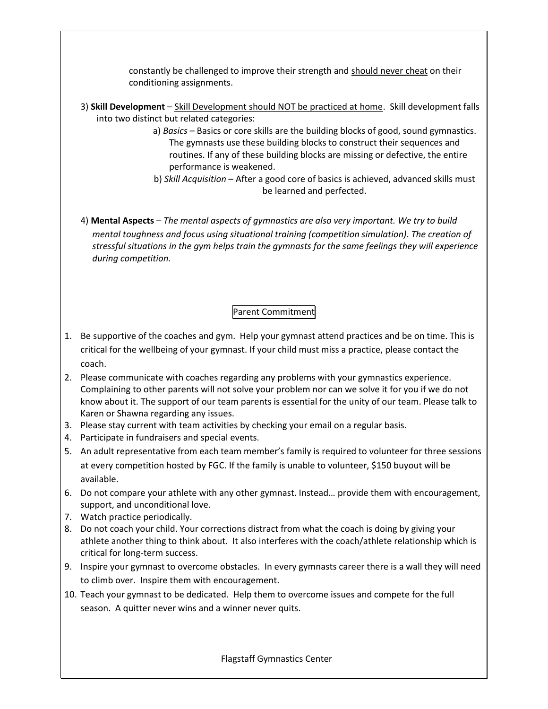constantly be challenged to improve their strength and should never cheat on their conditioning assignments.

- 3) **Skill Development** Skill Development should NOT be practiced at home. Skill development falls into two distinct but related categories:
	- a) *Basics –* Basics or core skills are the building blocks of good, sound gymnastics. The gymnasts use these building blocks to construct their sequences and routines. If any of these building blocks are missing or defective, the entire performance is weakened.
	- b) *Skill Acquisition*  After a good core of basics is achieved, advanced skills must be learned and perfected.
- 4) **Mental Aspects** *The mental aspects of gymnastics are also very important. We try to build mental toughness and focus using situational training (competition simulation). The creation of stressful situations in the gym helps train the gymnasts for the same feelings they will experience during competition.*

## Parent Commitment

- 1. Be supportive of the coaches and gym. Help your gymnast attend practices and be on time. This is critical for the wellbeing of your gymnast. If your child must miss a practice, please contact the coach.
- 2. Please communicate with coaches regarding any problems with your gymnastics experience. Complaining to other parents will not solve your problem nor can we solve it for you if we do not know about it. The support of our team parents is essential for the unity of our team. Please talk to Karen or Shawna regarding any issues.
- 3. Please stay current with team activities by checking your email on a regular basis.
- 4. Participate in fundraisers and special events.
- 5. An adult representative from each team member's family is required to volunteer for three sessions at every competition hosted by FGC. If the family is unable to volunteer, \$150 buyout will be available.
- 6. Do not compare your athlete with any other gymnast. Instead… provide them with encouragement, support, and unconditional love.
- 7. Watch practice periodically.
- 8. Do not coach your child. Your corrections distract from what the coach is doing by giving your athlete another thing to think about. It also interferes with the coach/athlete relationship which is critical for long-term success.
- 9. Inspire your gymnast to overcome obstacles. In every gymnasts career there is a wall they will need to climb over. Inspire them with encouragement.
- 10. Teach your gymnast to be dedicated. Help them to overcome issues and compete for the full season. A quitter never wins and a winner never quits.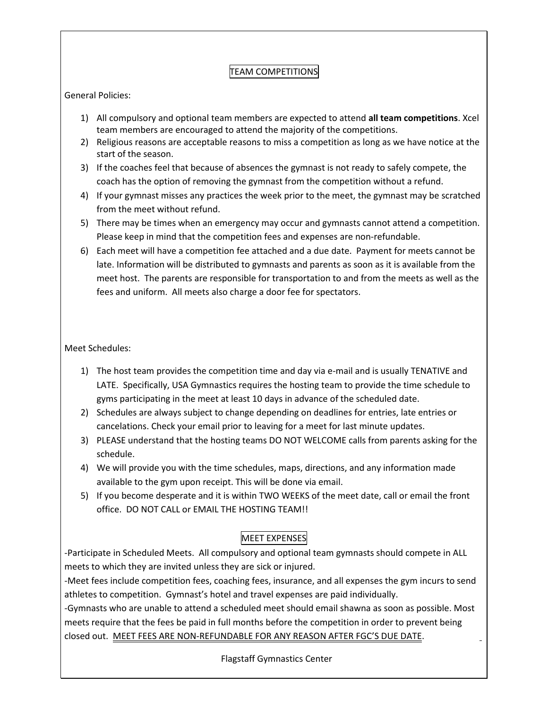## TEAM COMPETITIONS

General Policies:

- 1) All compulsory and optional team members are expected to attend **all team competitions**. Xcel team members are encouraged to attend the majority of the competitions.
- 2) Religious reasons are acceptable reasons to miss a competition as long as we have notice at the start of the season.
- 3) If the coaches feel that because of absences the gymnast is not ready to safely compete, the coach has the option of removing the gymnast from the competition without a refund.
- 4) If your gymnast misses any practices the week prior to the meet, the gymnast may be scratched from the meet without refund.
- 5) There may be times when an emergency may occur and gymnasts cannot attend a competition. Please keep in mind that the competition fees and expenses are non-refundable.
- 6) Each meet will have a competition fee attached and a due date. Payment for meets cannot be late. Information will be distributed to gymnasts and parents as soon as it is available from the meet host. The parents are responsible for transportation to and from the meets as well as the fees and uniform. All meets also charge a door fee for spectators.

Meet Schedules:

- 1) The host team provides the competition time and day via e-mail and is usually TENATIVE and LATE. Specifically, USA Gymnastics requires the hosting team to provide the time schedule to gyms participating in the meet at least 10 days in advance of the scheduled date.
- 2) Schedules are always subject to change depending on deadlines for entries, late entries or cancelations. Check your email prior to leaving for a meet for last minute updates.
- 3) PLEASE understand that the hosting teams DO NOT WELCOME calls from parents asking for the schedule.
- 4) We will provide you with the time schedules, maps, directions, and any information made available to the gym upon receipt. This will be done via email.
- 5) If you become desperate and it is within TWO WEEKS of the meet date, call or email the front office. DO NOT CALL or EMAIL THE HOSTING TEAM!!

## MEET EXPENSES

-Participate in Scheduled Meets. All compulsory and optional team gymnasts should compete in ALL meets to which they are invited unless they are sick or injured.

-Meet fees include competition fees, coaching fees, insurance, and all expenses the gym incurs to send athletes to competition. Gymnast's hotel and travel expenses are paid individually.

-Gymnasts who are unable to attend a scheduled meet should email shawna as soon as possible. Most meets require that the fees be paid in full months before the competition in order to prevent being closed out. MEET FEES ARE NON-REFUNDABLE FOR ANY REASON AFTER FGC'S DUE DATE.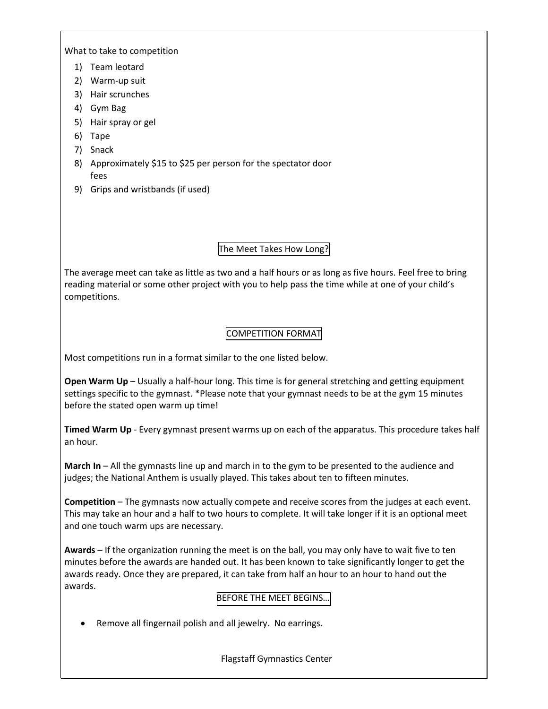What to take to competition

- 1) Team leotard
- 2) Warm-up suit
- 3) Hair scrunches
- 4) Gym Bag
- 5) Hair spray or gel
- 6) Tape
- 7) Snack
- 8) Approximately \$15 to \$25 per person for the spectator door fees
- 9) Grips and wristbands (if used)

## The Meet Takes How Long?

The average meet can take as little as two and a half hours or as long as five hours. Feel free to bring reading material or some other project with you to help pass the time while at one of your child's competitions.

## COMPETITION FORMAT

Most competitions run in a format similar to the one listed below.

**Open Warm Up** – Usually a half-hour long. This time is for general stretching and getting equipment settings specific to the gymnast. \*Please note that your gymnast needs to be at the gym 15 minutes before the stated open warm up time!

**Timed Warm Up** - Every gymnast present warms up on each of the apparatus. This procedure takes half an hour.

**March In** – All the gymnasts line up and march in to the gym to be presented to the audience and judges; the National Anthem is usually played. This takes about ten to fifteen minutes.

**Competition** – The gymnasts now actually compete and receive scores from the judges at each event. This may take an hour and a half to two hours to complete. It will take longer if it is an optional meet and one touch warm ups are necessary.

**Awards** – If the organization running the meet is on the ball, you may only have to wait five to ten minutes before the awards are handed out. It has been known to take significantly longer to get the awards ready. Once they are prepared, it can take from half an hour to an hour to hand out the awards.

#### BEFORE THE MEET BEGINS…

• Remove all fingernail polish and all jewelry. No earrings.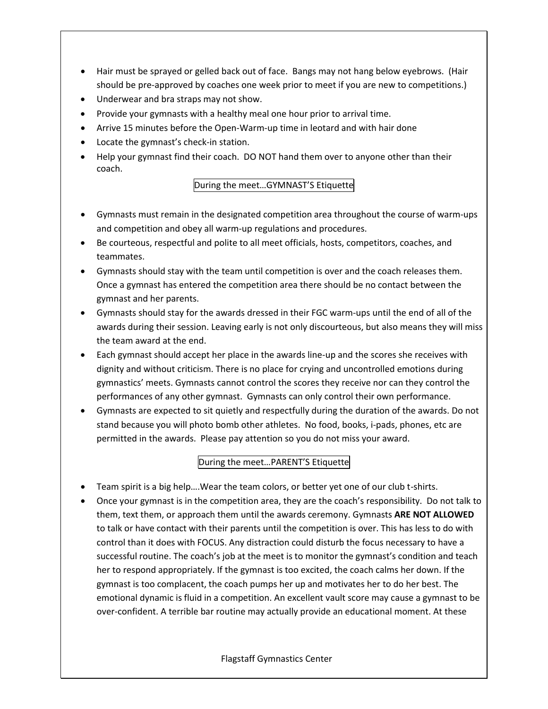- Hair must be sprayed or gelled back out of face. Bangs may not hang below eyebrows. (Hair should be pre-approved by coaches one week prior to meet if you are new to competitions.)
- Underwear and bra straps may not show.
- Provide your gymnasts with a healthy meal one hour prior to arrival time.
- Arrive 15 minutes before the Open-Warm-up time in leotard and with hair done
- Locate the gymnast's check-in station.
- Help your gymnast find their coach. DO NOT hand them over to anyone other than their coach.

#### During the meet…GYMNAST'S Etiquette

- Gymnasts must remain in the designated competition area throughout the course of warm-ups and competition and obey all warm-up regulations and procedures.
- Be courteous, respectful and polite to all meet officials, hosts, competitors, coaches, and teammates.
- Gymnasts should stay with the team until competition is over and the coach releases them. Once a gymnast has entered the competition area there should be no contact between the gymnast and her parents.
- Gymnasts should stay for the awards dressed in their FGC warm-ups until the end of all of the awards during their session. Leaving early is not only discourteous, but also means they will miss the team award at the end.
- Each gymnast should accept her place in the awards line-up and the scores she receives with dignity and without criticism. There is no place for crying and uncontrolled emotions during gymnastics' meets. Gymnasts cannot control the scores they receive nor can they control the performances of any other gymnast. Gymnasts can only control their own performance.
- Gymnasts are expected to sit quietly and respectfully during the duration of the awards. Do not stand because you will photo bomb other athletes. No food, books, i-pads, phones, etc are permitted in the awards. Please pay attention so you do not miss your award.

## During the meet…PARENT'S Etiquette

- Team spirit is a big help….Wear the team colors, or better yet one of our club t-shirts.
- Once your gymnast is in the competition area, they are the coach's responsibility. Do not talk to them, text them, or approach them until the awards ceremony. Gymnasts **ARE NOT ALLOWED** to talk or have contact with their parents until the competition is over. This has less to do with control than it does with FOCUS. Any distraction could disturb the focus necessary to have a successful routine. The coach's job at the meet is to monitor the gymnast's condition and teach her to respond appropriately. If the gymnast is too excited, the coach calms her down. If the gymnast is too complacent, the coach pumps her up and motivates her to do her best. The emotional dynamic is fluid in a competition. An excellent vault score may cause a gymnast to be over-confident. A terrible bar routine may actually provide an educational moment. At these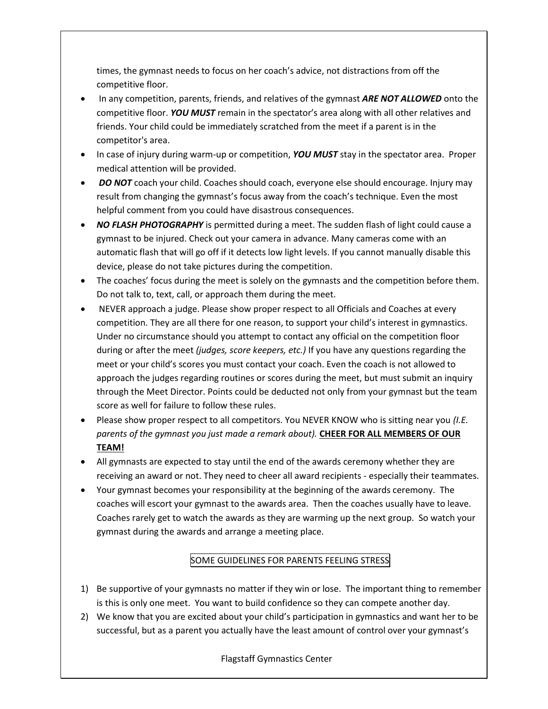times, the gymnast needs to focus on her coach's advice, not distractions from off the competitive floor.

- In any competition, parents, friends, and relatives of the gymnast *ARE NOT ALLOWED* onto the competitive floor. *YOU MUST* remain in the spectator's area along with all other relatives and friends. Your child could be immediately scratched from the meet if a parent is in the competitor's area.
- In case of injury during warm-up or competition, *YOU MUST* stay in the spectator area. Proper medical attention will be provided.
- *DO NOT* coach your child. Coaches should coach, everyone else should encourage. Injury may result from changing the gymnast's focus away from the coach's technique. Even the most helpful comment from you could have disastrous consequences.
- *NO FLASH PHOTOGRAPHY* is permitted during a meet. The sudden flash of light could cause a gymnast to be injured. Check out your camera in advance. Many cameras come with an automatic flash that will go off if it detects low light levels. If you cannot manually disable this device, please do not take pictures during the competition.
- The coaches' focus during the meet is solely on the gymnasts and the competition before them. Do not talk to, text, call, or approach them during the meet.
- NEVER approach a judge. Please show proper respect to all Officials and Coaches at every competition. They are all there for one reason, to support your child's interest in gymnastics. Under no circumstance should you attempt to contact any official on the competition floor during or after the meet *(judges, score keepers, etc.)* If you have any questions regarding the meet or your child's scores you must contact your coach. Even the coach is not allowed to approach the judges regarding routines or scores during the meet, but must submit an inquiry through the Meet Director. Points could be deducted not only from your gymnast but the team score as well for failure to follow these rules.
- Please show proper respect to all competitors. You NEVER KNOW who is sitting near you *(I.E. parents of the gymnast you just made a remark about).* **CHEER FOR ALL MEMBERS OF OUR TEAM!**
- All gymnasts are expected to stay until the end of the awards ceremony whether they are receiving an award or not. They need to cheer all award recipients - especially their teammates.
- Your gymnast becomes your responsibility at the beginning of the awards ceremony. The coaches will escort your gymnast to the awards area. Then the coaches usually have to leave. Coaches rarely get to watch the awards as they are warming up the next group. So watch your gymnast during the awards and arrange a meeting place.

## SOME GUIDELINES FOR PARENTS FEELING STRESS

- 1) Be supportive of your gymnasts no matter if they win or lose. The important thing to remember is this is only one meet. You want to build confidence so they can compete another day.
- 2) We know that you are excited about your child's participation in gymnastics and want her to be successful, but as a parent you actually have the least amount of control over your gymnast's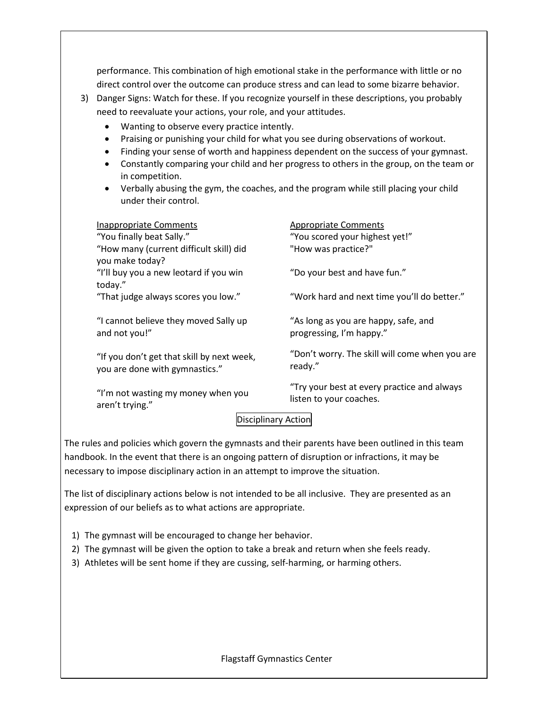performance. This combination of high emotional stake in the performance with little or no direct control over the outcome can produce stress and can lead to some bizarre behavior. 3) Danger Signs: Watch for these. If you recognize yourself in these descriptions, you probably need to reevaluate your actions, your role, and your attitudes. • Wanting to observe every practice intently. • Praising or punishing your child for what you see during observations of workout. • Finding your sense of worth and happiness dependent on the success of your gymnast. • Constantly comparing your child and her progress to others in the group, on the team or in competition. • Verbally abusing the gym, the coaches, and the program while still placing your child under their control. Inappropriate Comments "You finally beat Sally." "How many (current difficult skill) did you make today? "I'll buy you a new leotard if you win today." "That judge always scores you low." "I cannot believe they moved Sally up and not you!" "If you don't get that skill by next week, you are done with gymnastics." "I'm not wasting my money when you aren't trying." Appropriate Comments "You scored your highest yet!" "How was practice?" "Do your best and have fun." "Work hard and next time you'll do better." "As long as you are happy, safe, and progressing, I'm happy." "Don't worry. The skill will come when you are ready." "Try your best at every practice and always listen to your coaches.

## Disciplinary Action

The rules and policies which govern the gymnasts and their parents have been outlined in this team handbook. In the event that there is an ongoing pattern of disruption or infractions, it may be necessary to impose disciplinary action in an attempt to improve the situation.

The list of disciplinary actions below is not intended to be all inclusive. They are presented as an expression of our beliefs as to what actions are appropriate.

- 1) The gymnast will be encouraged to change her behavior.
- 2) The gymnast will be given the option to take a break and return when she feels ready.
- 3) Athletes will be sent home if they are cussing, self-harming, or harming others.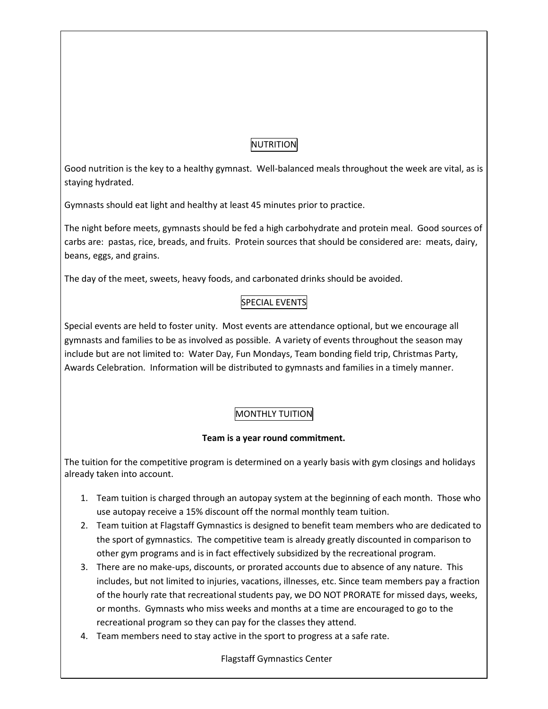## NUTRITION

Good nutrition is the key to a healthy gymnast. Well-balanced meals throughout the week are vital, as is staying hydrated.

Gymnasts should eat light and healthy at least 45 minutes prior to practice.

The night before meets, gymnasts should be fed a high carbohydrate and protein meal. Good sources of carbs are: pastas, rice, breads, and fruits. Protein sources that should be considered are: meats, dairy, beans, eggs, and grains.

The day of the meet, sweets, heavy foods, and carbonated drinks should be avoided.

## SPECIAL EVENTS

Special events are held to foster unity. Most events are attendance optional, but we encourage all gymnasts and families to be as involved as possible. A variety of events throughout the season may include but are not limited to: Water Day, Fun Mondays, Team bonding field trip, Christmas Party, Awards Celebration. Information will be distributed to gymnasts and families in a timely manner.

## MONTHLY TUITION

## **Team is a year round commitment.**

The tuition for the competitive program is determined on a yearly basis with gym closings and holidays already taken into account.

- 1. Team tuition is charged through an autopay system at the beginning of each month. Those who use autopay receive a 15% discount off the normal monthly team tuition.
- 2. Team tuition at Flagstaff Gymnastics is designed to benefit team members who are dedicated to the sport of gymnastics. The competitive team is already greatly discounted in comparison to other gym programs and is in fact effectively subsidized by the recreational program.
- 3. There are no make-ups, discounts, or prorated accounts due to absence of any nature. This includes, but not limited to injuries, vacations, illnesses, etc. Since team members pay a fraction of the hourly rate that recreational students pay, we DO NOT PRORATE for missed days, weeks, or months. Gymnasts who miss weeks and months at a time are encouraged to go to the recreational program so they can pay for the classes they attend.
- 4. Team members need to stay active in the sport to progress at a safe rate.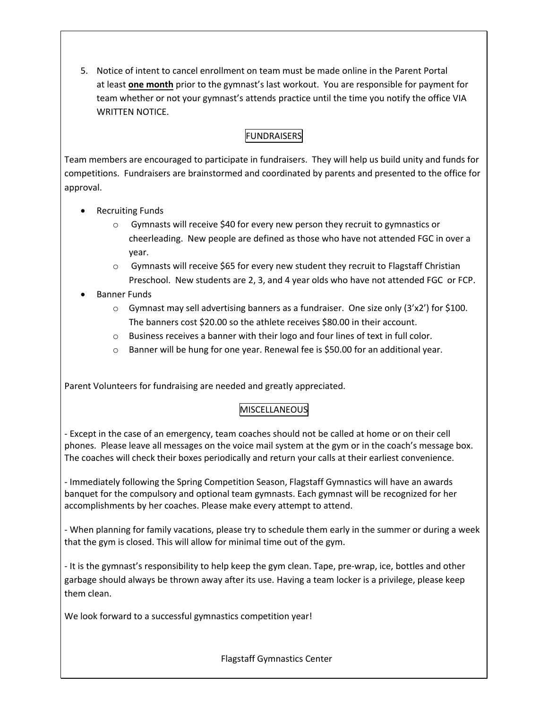5. Notice of intent to cancel enrollment on team must be made online in the Parent Portal at least **one month** prior to the gymnast's last workout. You are responsible for payment for team whether or not your gymnast's attends practice until the time you notify the office VIA WRITTEN NOTICE.

## FUNDRAISERS

Team members are encouraged to participate in fundraisers. They will help us build unity and funds for competitions. Fundraisers are brainstormed and coordinated by parents and presented to the office for approval.

- Recruiting Funds
	- o Gymnasts will receive \$40 for every new person they recruit to gymnastics or cheerleading. New people are defined as those who have not attended FGC in over a year.
	- $\circ$  Gymnasts will receive \$65 for every new student they recruit to Flagstaff Christian Preschool. New students are 2, 3, and 4 year olds who have not attended FGC or FCP.
- Banner Funds
	- $\circ$  Gymnast may sell advertising banners as a fundraiser. One size only (3'x2') for \$100. The banners cost \$20.00 so the athlete receives \$80.00 in their account.
	- $\circ$  Business receives a banner with their logo and four lines of text in full color.
	- $\circ$  Banner will be hung for one year. Renewal fee is \$50.00 for an additional year.

Parent Volunteers for fundraising are needed and greatly appreciated.

## MISCELLANEOUS

- Except in the case of an emergency, team coaches should not be called at home or on their cell phones. Please leave all messages on the voice mail system at the gym or in the coach's message box. The coaches will check their boxes periodically and return your calls at their earliest convenience.

- Immediately following the Spring Competition Season, Flagstaff Gymnastics will have an awards banquet for the compulsory and optional team gymnasts. Each gymnast will be recognized for her accomplishments by her coaches. Please make every attempt to attend.

- When planning for family vacations, please try to schedule them early in the summer or during a week that the gym is closed. This will allow for minimal time out of the gym.

- It is the gymnast's responsibility to help keep the gym clean. Tape, pre-wrap, ice, bottles and other garbage should always be thrown away after its use. Having a team locker is a privilege, please keep them clean.

We look forward to a successful gymnastics competition year!